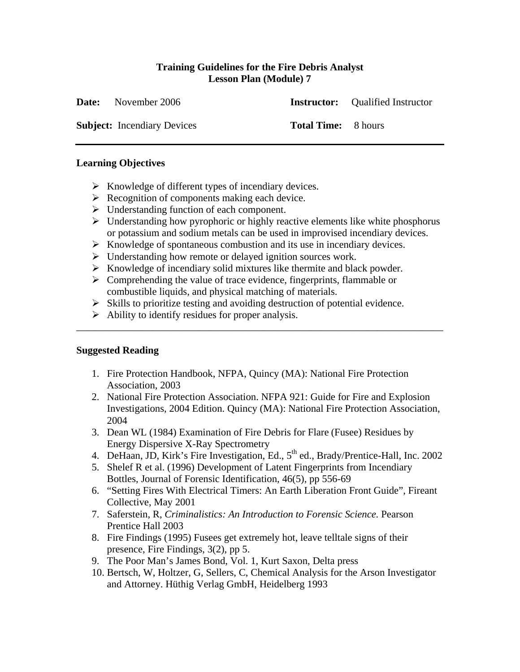## **Training Guidelines for the Fire Debris Analyst Lesson Plan (Module) 7**

| <b>Date:</b> November 2006         |                            | <b>Instructor:</b> Qualified Instructor |
|------------------------------------|----------------------------|-----------------------------------------|
| <b>Subject:</b> Incendiary Devices | <b>Total Time:</b> 8 hours |                                         |

### **Learning Objectives**

- $\triangleright$  Knowledge of different types of incendiary devices.
- $\triangleright$  Recognition of components making each device.
- $\triangleright$  Understanding function of each component.
- $\triangleright$  Understanding how pyrophoric or highly reactive elements like white phosphorus or potassium and sodium metals can be used in improvised incendiary devices.
- ¾ Knowledge of spontaneous combustion and its use in incendiary devices.
- $\triangleright$  Understanding how remote or delayed ignition sources work.
- $\triangleright$  Knowledge of incendiary solid mixtures like thermite and black powder.
- $\triangleright$  Comprehending the value of trace evidence, fingerprints, flammable or combustible liquids, and physical matching of materials.
- $\triangleright$  Skills to prioritize testing and avoiding destruction of potential evidence.

\_\_\_\_\_\_\_\_\_\_\_\_\_\_\_\_\_\_\_\_\_\_\_\_\_\_\_\_\_\_\_\_\_\_\_\_\_\_\_\_\_\_\_\_\_\_\_\_\_\_\_\_\_\_\_\_\_\_\_\_\_\_\_\_\_\_\_\_\_\_\_\_

 $\triangleright$  Ability to identify residues for proper analysis.

# **Suggested Reading**

- 1. Fire Protection Handbook, NFPA, Quincy (MA): National Fire Protection Association, 2003
- 2. National Fire Protection Association. NFPA 921: Guide for Fire and Explosion Investigations, 2004 Edition. Quincy (MA): National Fire Protection Association, 2004
- 3. Dean WL (1984) Examination of Fire Debris for Flare (Fusee) Residues by Energy Dispersive X-Ray Spectrometry
- 4. DeHaan, JD, Kirk's Fire Investigation, Ed., 5<sup>th</sup> ed., Brady/Prentice-Hall, Inc. 2002
- 5. Shelef R et al. (1996) Development of Latent Fingerprints from Incendiary Bottles, Journal of Forensic Identification, 46(5), pp 556-69
- 6. "Setting Fires With Electrical Timers: An Earth Liberation Front Guide", Fireant Collective, May 2001
- 7. Saferstein, R, *Criminalistics: An Introduction to Forensic Science.* Pearson Prentice Hall 2003
- 8. Fire Findings (1995) Fusees get extremely hot, leave telltale signs of their presence, Fire Findings, 3(2), pp 5.
- 9. The Poor Man's James Bond, Vol. 1, Kurt Saxon, Delta press
- 10. Bertsch, W, Holtzer, G, Sellers, C, Chemical Analysis for the Arson Investigator and Attorney. Hüthig Verlag GmbH, Heidelberg 1993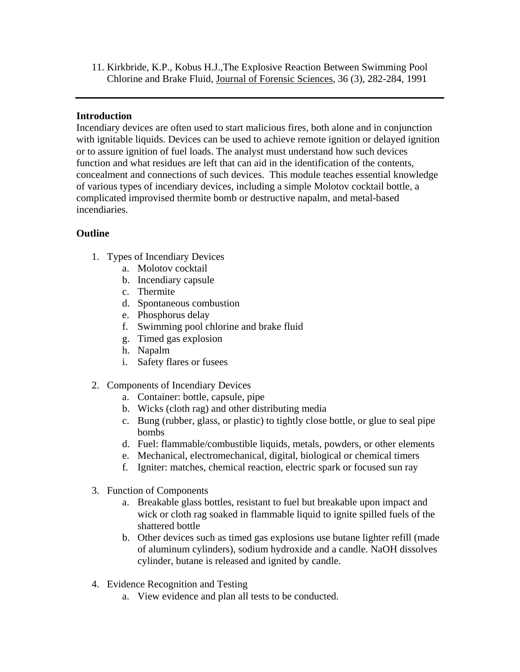11. Kirkbride, K.P., Kobus H.J.,The Explosive Reaction Between Swimming Pool Chlorine and Brake Fluid, Journal of Forensic Sciences, 36 (3), 282-284, 1991

## **Introduction**

Incendiary devices are often used to start malicious fires, both alone and in conjunction with ignitable liquids. Devices can be used to achieve remote ignition or delayed ignition or to assure ignition of fuel loads. The analyst must understand how such devices function and what residues are left that can aid in the identification of the contents, concealment and connections of such devices. This module teaches essential knowledge of various types of incendiary devices, including a simple Molotov cocktail bottle, a complicated improvised thermite bomb or destructive napalm, and metal-based incendiaries.

# **Outline**

- 1. Types of Incendiary Devices
	- a. Molotov cocktail
	- b. Incendiary capsule
	- c. Thermite
	- d. Spontaneous combustion
	- e. Phosphorus delay
	- f. Swimming pool chlorine and brake fluid
	- g. Timed gas explosion
	- h. Napalm
	- i. Safety flares or fusees
- 2. Components of Incendiary Devices
	- a. Container: bottle, capsule, pipe
	- b. Wicks (cloth rag) and other distributing media
	- c. Bung (rubber, glass, or plastic) to tightly close bottle, or glue to seal pipe bombs
	- d. Fuel: flammable/combustible liquids, metals, powders, or other elements
	- e. Mechanical, electromechanical, digital, biological or chemical timers
	- f. Igniter: matches, chemical reaction, electric spark or focused sun ray
- 3. Function of Components
	- a. Breakable glass bottles, resistant to fuel but breakable upon impact and wick or cloth rag soaked in flammable liquid to ignite spilled fuels of the shattered bottle
	- b. Other devices such as timed gas explosions use butane lighter refill (made of aluminum cylinders), sodium hydroxide and a candle. NaOH dissolves cylinder, butane is released and ignited by candle.
- 4. Evidence Recognition and Testing
	- a. View evidence and plan all tests to be conducted.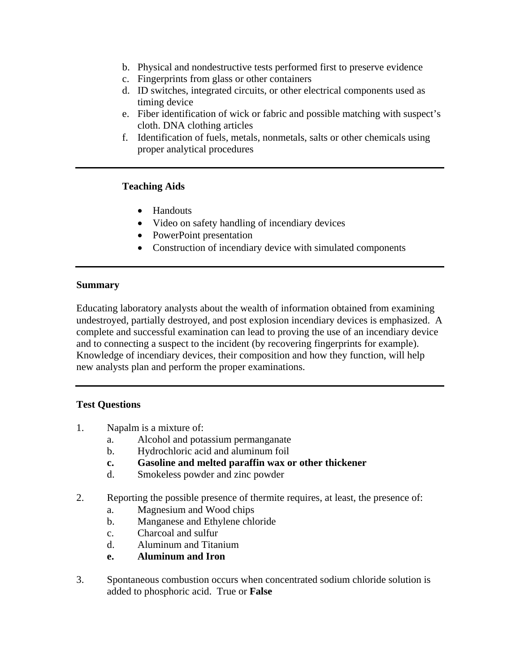- b. Physical and nondestructive tests performed first to preserve evidence
- c. Fingerprints from glass or other containers
- d. ID switches, integrated circuits, or other electrical components used as timing device
- e. Fiber identification of wick or fabric and possible matching with suspect's cloth. DNA clothing articles
- f. Identification of fuels, metals, nonmetals, salts or other chemicals using proper analytical procedures

#### **Teaching Aids**

- Handouts
- Video on safety handling of incendiary devices
- PowerPoint presentation
- Construction of incendiary device with simulated components

#### **Summary**

Educating laboratory analysts about the wealth of information obtained from examining undestroyed, partially destroyed, and post explosion incendiary devices is emphasized. A complete and successful examination can lead to proving the use of an incendiary device and to connecting a suspect to the incident (by recovering fingerprints for example). Knowledge of incendiary devices, their composition and how they function, will help new analysts plan and perform the proper examinations.

### **Test Questions**

- 1. Napalm is a mixture of:
	- a. Alcohol and potassium permanganate
	- b. Hydrochloric acid and aluminum foil
	- **c. Gasoline and melted paraffin wax or other thickener**
	- d. Smokeless powder and zinc powder
- 2. Reporting the possible presence of thermite requires, at least, the presence of:
	- a. Magnesium and Wood chips
	- b. Manganese and Ethylene chloride
	- c. Charcoal and sulfur
	- d. Aluminum and Titanium
	- **e. Aluminum and Iron**
- 3. Spontaneous combustion occurs when concentrated sodium chloride solution is added to phosphoric acid. True or **False**